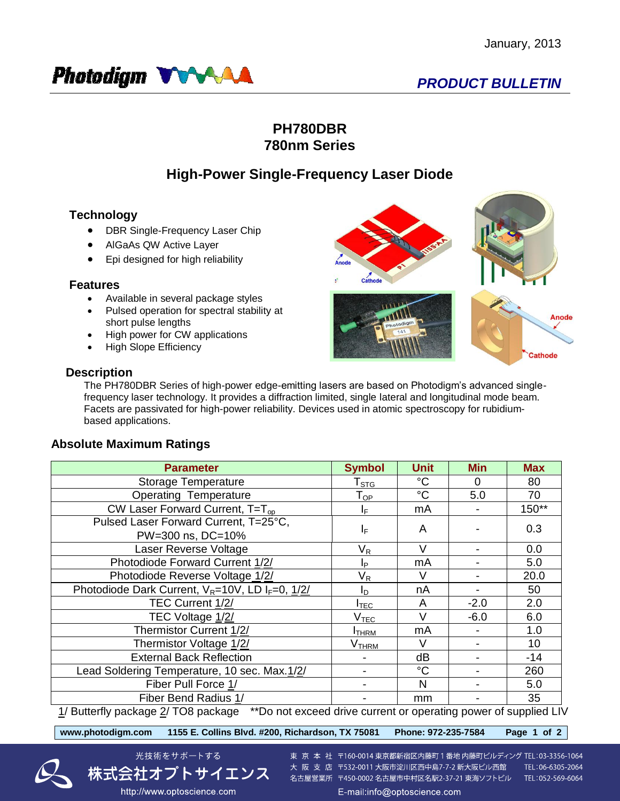Anode

athode



## **PH780DBR 780nm Series**

# **High-Power Single-Frequency Laser Diode**

## **Technology**

- DBR Single-Frequency Laser Chip
- AlGaAs QW Active Layer
- Epi designed for high reliability

### **Features**

- Available in several package styles
- Pulsed operation for spectral stability at short pulse lengths
- High power for CW applications
- High Slope Efficiency

## **Description**

The PH780DBR Series of high-power edge-emitting lasers are based on Photodigm's advanced singlefrequency laser technology. It provides a diffraction limited, single lateral and longitudinal mode beam. Facets are passivated for high-power reliability. Devices used in atomic spectroscopy for rubidiumbased applications.

## **Absolute Maximum Ratings**

| <b>Parameter</b>                                                                                    | <b>Symbol</b>                 | <b>Unit</b> | <b>Min</b> | <b>Max</b> |  |  |  |
|-----------------------------------------------------------------------------------------------------|-------------------------------|-------------|------------|------------|--|--|--|
| Storage Temperature                                                                                 | $\mathsf{T}_{\texttt{STG}}$   | $^{\circ}C$ | $\Omega$   | 80         |  |  |  |
| <b>Operating Temperature</b>                                                                        | $\mathsf{T}_{\mathsf{OP}}$    | $^{\circ}C$ | 5.0        | 70         |  |  |  |
| CW Laser Forward Current, T=T <sub>op</sub>                                                         | IF.                           | mA          |            | $150**$    |  |  |  |
| Pulsed Laser Forward Current, T=25°C,                                                               |                               | A           |            | 0.3        |  |  |  |
| PW=300 ns, DC=10%                                                                                   | ΙF                            |             |            |            |  |  |  |
| Laser Reverse Voltage                                                                               | $\mathsf{V}_\mathsf{R}$       | V           |            | 0.0        |  |  |  |
| Photodiode Forward Current 1/2/                                                                     | Iр                            | mA          |            | 5.0        |  |  |  |
| Photodiode Reverse Voltage 1/2/                                                                     | V <sub>R</sub>                | V           |            | 20.0       |  |  |  |
| Photodiode Dark Current, $V_R = 10V$ , LD I <sub>F</sub> =0, $1/2/$                                 | I <sub>D</sub>                | nA          |            | 50         |  |  |  |
| TEC Current 1/2/                                                                                    | $\sf{I}_{\mathsf{TEC}}$       | A           | $-2.0$     | 2.0        |  |  |  |
| TEC Voltage 1/2/                                                                                    | $\rm V_{\rm T\underline{EC}}$ | V           | $-6.0$     | 6.0        |  |  |  |
| Thermistor Current 1/2/                                                                             | <b>I</b> THRM                 | mA          |            | 1.0        |  |  |  |
| Thermistor Voltage 1/2/                                                                             | V <sub>THRM</sub>             | V           |            | 10         |  |  |  |
| <b>External Back Reflection</b>                                                                     |                               | dB          |            | $-14$      |  |  |  |
| Lead Soldering Temperature, 10 sec. Max.1/2/                                                        |                               | $^{\circ}C$ |            | 260        |  |  |  |
| Fiber Pull Force 1/                                                                                 |                               | N           |            | 5.0        |  |  |  |
| Fiber Bend Radius 1/                                                                                |                               | mm          |            | 35         |  |  |  |
| 1/ Buttorfly package 2/ TOR package ** De not exceed drive current or eperating power of cupplied U |                               |             |            |            |  |  |  |

<u>1</u>/ Butterfly package <u>2</u>/ TO8 package  $\hbox{ ``rDo}$  not exceed drive current or operating power of supplied LIV

**www.photodigm.com 1155 E. Collins Blvd. #200, Richardson, TX 75081 Phone: 972-235-7584 Page 1 of 2** 





東 京 本 社 〒160-0014 東京都新宿区内藤町 1 番地 内藤町ビルディング TEL:03-3356-1064 大阪支店 〒532-0011 大阪市淀川区西中島7-7-2 新大阪ビル西館 名古屋営業所 〒450-0002 名古屋市中村区名駅2-37-21 東海ソフトビル TEL:052-569-6064

TEL:06-6305-2064

E-mail:info@optoscience.com